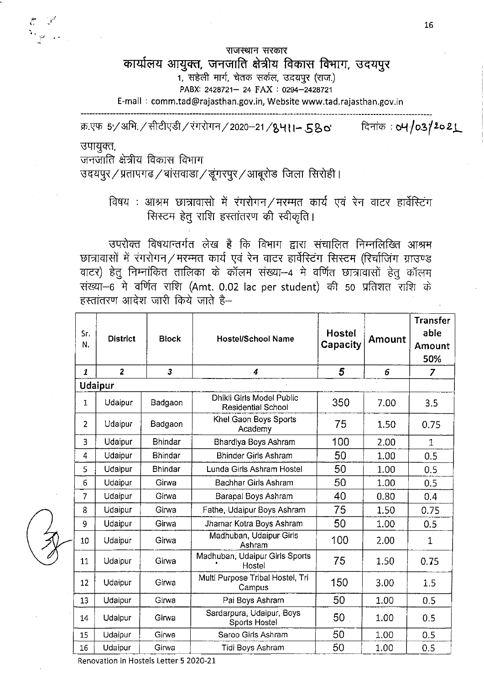राजस्थान सरकार

## कार्यालय आयुक्त, जनजाति क्षेत्रीय विकास विभाग, उदयपुर

1. सहेली मार्ग, चेतक सर्कल, उद्भयपूर (राज.)

PABX: 2428721- 24 FAX : 0294-2428721

E-mail: comm.tad@rajasthan.gov.in, Website www.tad.rajasthan.gov.in

क्र.एफ 5-/अभि. / सीटीएडी / रंगरोगन / 2020-21 / 8411-  $58$ o'

दिनांक: 04/03/2021

उपायुक्त,

जनजाति क्षेत्रीय विकास विभाग

उदयपुर $\,$ / प्रतापगढ $\,$ / बांसवाडा $\,$ / डूंगरपुर $\,$ / आबूरोड $\,$  जिला $\,$  सिरोही ।

## विषय : आश्रम छात्रावासो में रंगरोगन / मरम्मत कार्य एवं रेन वाटर हार्वेस्टिंग सिस्टम हेतु राशि हस्तांतरण की स्वीकृति।

उपरोक्त विषयान्तर्गत लेख है कि विभाग द्वारा संचालित निम्नलिख्ति आश्रम छात्रावासों में रंगरोगन / मरम्मत कार्य एवं रेन वाटर हार्वेस्टिंग सिस्टम (रिर्चाजिंग ग्राउण्ड वाटर) हेतु निम्नांकित तालिका के कॉलम संख्या--4 मे वर्णित छात्रावासों हेतु कॉलम संख्या-6 मे वर्णित राशि (Amt. 0.02 lac per student) की 50 प्रतिशत राशि के  $F_{\rm F}$ स्तांतरण आदेश जारी किये जाते है—

| Sr.<br>N.      | <b>District</b>         | <b>Block</b>            | <b>Hostel/School Name</b>                       | <b>Hostel</b><br>Capacity | Amount | <b>Transfer</b><br>able<br>Amount<br>50% |
|----------------|-------------------------|-------------------------|-------------------------------------------------|---------------------------|--------|------------------------------------------|
| $\mathbf{1}$   | $\overline{\mathbf{z}}$ | $\overline{\mathbf{3}}$ | $\overline{4}$                                  | 5                         | 6      | $\overline{z}$                           |
|                | Udaipur                 |                         |                                                 |                           |        |                                          |
| $\mathbf{1}$   | Udaipur                 | Badgaon                 | Dhikli Girls Model Public<br>Residential School | 350                       | 7.00   | 3.5                                      |
| $\overline{2}$ | Udaipur                 | Badgaon                 | Khel Gaon Boys Sports<br>Academy                | 75                        | 1.50   | 0.75                                     |
| 3              | Udaipur                 | <b>Bhindar</b>          | Bhardiya Boys Ashram                            | 100                       | 2.00   | $\mathbf{1}$                             |
| 4              | Udaipur                 | <b>Bhindar</b>          | <b>Bhinder Girls Ashram</b>                     | 50                        | 1.00   | 0.5                                      |
| 5              | Udaipur                 | <b>Bhindar</b>          | Lunda Girls Ashram Hostel                       | 50                        | 1.00   | 0.5                                      |
| 6              | Udaipur                 | Girwa                   | Bachhar Girls Ashram                            | 50                        | 1.00   | 0.5                                      |
| $\overline{7}$ | Udaipur                 | Girwa                   | Barapal Boys Ashram                             | 40                        | 0.80   | 0.4                                      |
| 8              | Udaipur                 | Girwa                   | Fathe, Udaipur Boys Ashram                      | 75                        | 1.50   | 0.75                                     |
| 9              | Udaipur                 | Girwa                   | Jhamar Kotra Boys Ashram                        | 50                        | 1.00   | 0.5                                      |
| 10             | Udaipur                 | Girwa                   | Madhuban, Udaipur Girls<br>Ashram               | 100                       | 2.00   | $\mathbf{1}$                             |
| 11             | Udaipur                 | Girwa                   | Madhuban, Udaipur Girls Sports<br>Hostel        | 75                        | 1.50   | 0.75                                     |
| 12             | Udaipur                 | Girwa                   | Multi Purpose Tribal Hostel, Tri<br>Campus      | 150                       | 3.00   | 1.5                                      |
| 13             | Udaipur                 | Girwa                   | Pai Boys Ashram                                 | 50                        | 1.00   | 0.5                                      |
| 14             | Udaipur                 | Girwa                   | Sardarpura, Udaipur, Boys<br>Sports Hostel      | 50                        | 1.00   | 0.5                                      |
| 15             | Udaipur                 | Girwa                   | Saroo Girls Ashram                              | 50                        | 1.00   | 0.5                                      |
| 16             | Udaipur                 | Girwa                   | Tidi Boys Ashram                                | 50                        | 1.00   | 0.5                                      |

Renovation in Hostels Letter 5 2020-21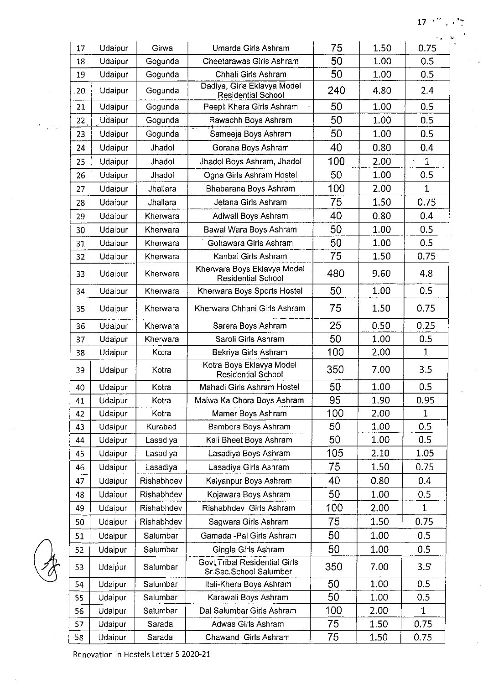## $\cdot$

| 17 | Udaipur | Girwa      | Umarda Girls Ashram                                      | 75  | 1.50 | 0.75         |
|----|---------|------------|----------------------------------------------------------|-----|------|--------------|
| 18 | Udaipur | Gogunda    | Cheetarawas Girls Ashram                                 | 50  | 1.00 | 0.5          |
| 19 | Udaipur | Gogunda    | Chhali Girls Ashram                                      | 50  | 1.00 | 0.5          |
| 20 | Udaipur | Gogunda    | Dadiya, Girls Eklavya Model<br><b>Residential School</b> | 240 | 4.80 | 2.4          |
| 21 | Udaipur | Gogunda    | Peepli Khera Girls Ashram                                | 50  | 1.00 | 0.5          |
| 22 | Udaipur | Gogunda    | Rawachh Boys Ashram                                      | 50  | 1.00 | 0.5          |
| 23 | Udaipur | Gogunda    | Sameeja Boys Ashram                                      | 50  | 1.00 | 0.5          |
| 24 | Udaipur | Jhadol     | Gorana Boys Ashram                                       | 40  | 0.80 | 0.4          |
| 25 | Udaipur | Jhadol     | Jhadol Boys Ashram, Jhadol                               | 100 | 2.00 | 1            |
| 26 | Udaipur | Jhadol     | Ogna Girls Ashram Hostel                                 | 50  | 1.00 | 0.5          |
| 27 | Udaipur | Jhallara   | Bhabarana Boys Ashram                                    | 100 | 2.00 | $\mathbf 1$  |
| 28 | Udaipur | Jhallara   | Jetana Girls Ashram                                      | 75  | 1.50 | 0.75         |
| 29 | Udaipur | Kherwara   | Adiwali Boys Ashram                                      | 40  | 0.80 | 0.4          |
| 30 | Udaipur | Kherwara   | Bawal Wara Boys Ashram                                   | 50  | 1.00 | 0.5          |
| 31 | Udaipur | Kherwara   | Gohawara Girls Ashram                                    | 50  | 1.00 | 0.5          |
| 32 | Udaipur | Kherwara   | Kanbai Girls Ashram                                      | 75  | 1.50 | 0.75         |
| 33 | Udaipur | Kherwara   | Kherwara Boys Eklavya Model<br><b>Residential School</b> | 480 | 9.60 | 4.8          |
| 34 | Udaipur | Kherwara   | Kherwara Boys Sports Hostel                              | 50  | 1.00 | 0.5          |
| 35 | Udaipur | Kherwara   | Kherwara Chhani Girls Ashram                             | 75  | 1.50 | 0.75         |
| 36 | Udaipur | Kherwara   | Sarera Boys Ashram                                       | 25  | 0.50 | 0.25         |
| 37 | Udaipur | Kherwara   | Saroli Girls Ashram                                      | 50  | 1.00 | 0.5          |
| 38 | Udaipur | Kotra      | Bekriya Girls Ashram                                     | 100 | 2.00 | 1            |
| 39 | Udaipur | Kotra      | Kotra Boys Eklavya Model<br><b>Residential School</b>    | 350 | 7.00 | 3.5          |
| 40 | Udaipur | Kotra      | Mahadi Girls Ashram Hostel                               | 50  | 1.00 | 0.5          |
| 41 | Udaipur | Kotra      | Malwa Ka Chora Boys Ashram                               | 95  | 1.90 | 0.95         |
| 42 | Udaipur | Kotra      | Mamer Boys Ashram                                        | 100 | 2.00 | 1            |
| 43 | Udaipur | Kurabad    | Bambora Boys Ashram                                      | 50  | 1.00 | 0.5          |
| 44 | Udaipur | Lasadiya   | Kali Bheet Boys Ashram                                   | 50  | 1.00 | 0.5          |
| 45 | Udaipur | Lasadiya   | Lasadiya Boys Ashram                                     | 105 | 2.10 | 1.05         |
| 46 | Udaipur | Lasadiya   | Lasadiya Girls Ashram                                    | 75  | 1.50 | 0.75         |
| 47 | Udaipur | Rishabhdev | Kalyanpur Boys Ashram                                    | 40  | 0.80 | 0.4          |
| 48 | Udaipur | Rishabhdev | Kojawara Boys Ashram                                     | 50  | 1.00 | 0.5          |
| 49 | Udaipur | Rishabhdev | Rishabhdev Girls Ashram                                  | 100 | 2.00 | $\mathbf{1}$ |
| 50 | Udaipur | Rishabhdev | Sagwara Girls Ashram                                     | 75  | 1.50 | 0.75         |
| 51 | Udaipur | Salumbar   | Gamada - Pal Girls Ashram                                | 50  | 1.00 | 0.5          |
| 52 | Udaipur | Salumbar   | Gingla Girls Ashram                                      | 50  | 1.00 | 0.5          |
| 53 | Udaipur | Salumbar   | Govt Tribal Residential Girls<br>Sr.Sec.School Salumber  | 350 | 7.00 | 3.5          |
| 54 | Udaipur | Salumbar   | Itali-Khera Boys Ashram                                  | 50  | 1.00 | 0.5          |
| 55 | Udaipur | Salumbar   | Karawali Boys Ashram                                     | 50  | 1.00 | 0.5          |
| 56 | Udaipur | Salumbar   | Dal Salumbar Girls Ashram                                | 100 | 2.00 | 1            |
| 57 | Udaipur | Sarada     | Adwas Girls Ashram                                       | 75  | 1.50 | 0.75         |
| 58 | Udaipur | Sarada     | Chawand Girls Ashram                                     | 75  | 1.50 | 0.75         |

ψś.

Renovation in Hostels Letter 5 2020-21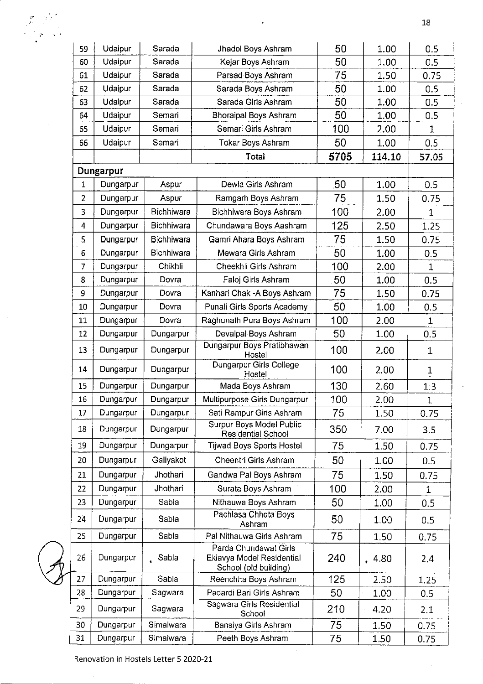| 59           | Udaipur   | Sarada            | Jhadol Boys Ashram                                                          | 50   | 1.00   | 0.5          |
|--------------|-----------|-------------------|-----------------------------------------------------------------------------|------|--------|--------------|
| 60           | Udaipur   | Sarada            | Kejar Boys Ashram                                                           | 50   | 1.00   | 0.5          |
| 61           | Udaipur   | Sarada            | Parsad Boys Ashram                                                          | 75   | 1.50   | 0.75         |
| 62           | Udaipur   | Sarada            | Sarada Boys Ashram                                                          | 50   | 1.00   | 0.5          |
| 63           | Udaipur   | Sarada            | Sarada Girls Ashram                                                         | 50   | 1.00   | 0.5          |
| 64           | Udaipur   | Semari            | Bhoraipal Boys Ashram                                                       | 50   | 1.00   | 0.5          |
| 65           | Udaipur   | Semari            | Semari Girls Ashram                                                         | 100  | 2.00   | $\mathbf{1}$ |
| 66           | Udaipur   | Semari            | <b>Tokar Boys Ashram</b>                                                    | 50   | 1.00   | 0.5          |
|              |           |                   | Total                                                                       | 5705 | 114.10 | 57.05        |
|              | Dungarpur |                   |                                                                             |      |        |              |
| $\mathbf{1}$ | Dungarpur | Aspur             | Dewla Girls Ashram                                                          | 50   | 1.00   | 0.5          |
| 2            | Dungarpur | Aspur             | Ramgarh Boys Ashram                                                         | 75   | 1.50   | 0.75         |
| 3            | Dungarpur | <b>Bichhiwara</b> | Bichhiwara Boys Ashram                                                      | 100  | 2.00   | 1            |
| 4            | Dungarpur | <b>Bichhiwara</b> | Chundawara Boys Aashram                                                     | 125  | 2.50   | 1.25         |
| 5            | Dungarpur | Bichhiwara        | Gamri Ahara Boys Ashram                                                     | 75   | 1.50   | 0.75         |
| 6            | Dungarpur | Bichhiwara        | Mewara Girls Ashram                                                         | 50   | 1.00   | 0.5          |
| 7            | Dungarpur | Chikhli           | Cheekhli Girls Ashram                                                       | 100  | 2.00   | 1            |
| 8            | Dungarpur | Dovra             | Faloj Girls Ashram                                                          | 50   | 1.00   | 0.5          |
| 9            | Dungarpur | Dovra             | Kanhari Chak - A Boys Ashram                                                | 75   | 1.50   | 0.75         |
| 10           | Dungarpur | Dovra             | Punali Girls Sports Academy                                                 | 50   | 1.00   | 0.5          |
| 11           | Dungarpur | Dovra             | Raghunath Pura Boys Ashram                                                  | 100  | 2.00   | $\mathbf{1}$ |
| 12           | Dungarpur | Dungarpur         | Devalpal Boys Ashram                                                        | 50   | 1.00   | 0.5          |
| 13           | Dungarpur | Dungarpur         | Dungarpur Boys Pratibhawan<br>Hostel                                        | 100  | 2.00   | $\mathbf 1$  |
| 14           | Dungarpur | Dungarpur         | Dungarpur Girls College<br>Hostel                                           | 100  | 2.00   | $\mathbf{1}$ |
| 15           | Dungarpur | Dungarpur         | Mada Boys Ashram                                                            | 130  | 2.60   | 1:3          |
| 16           | Dungarpur | Dungarpur         | Multipurpose Girls Dungarpur                                                | 100  | 2.00   | $\mathbf{1}$ |
| 17           | Dungarpur | Dungarpur         | Sati Rampur Girls Ashram                                                    | 75   | 1.50   | 0.75         |
| 18           | Dungarpur | Dungarpur         | <b>Surpur Boys Model Public</b><br>Residential School                       | 350  | 7.00   | 3.5          |
| 19           | Dungarpur | Dungarpur         | <b>Tijwad Boys Sports Hostel</b>                                            | 75   | 1.50   | 0.75         |
| 20           | Dungarpur | Galiyakot         | Cheentri Girls Ashram                                                       | 50   | 1.00   | 0.5          |
| 21           | Dungarpur | Jhothari          | Gandwa Pal Boys Ashram                                                      | 75   | 1.50   | 0.75         |
| 22           | Dungarpur | Jhothari          | Surata Boys Ashram                                                          | 100  | 2.00   | 1            |
| 23           | Dungarpur | Sabla             | Nithauwa Boys Ashram                                                        | 50   | 1.00   | 0.5          |
| 24           | Dungarpur | Sabla             | Pachlasa Chhota Boys<br>Ashram                                              | 50   | 1.00   | 0.5          |
| 25           | Dungarpur | Sabla             | Pal Nithauwa Girls Ashram                                                   | 75   | 1.50   | 0.75         |
| 26           | Dungarpur | Sabla             | Parda Chundawat Girls<br>Eklavya Model Residential<br>School (old building) | 240  | 4.80   | 2,4          |
| 27           | Dungarpur | Sabla             | Reenchha Boys Ashram                                                        | 125  | 2.50   | 1 2 5        |
| 28           | Dungarpur | Sagwara           | Padardi Bari Girls Ashram                                                   | 50   | 1.00   | 0.5          |
| 29           | Dungarpur | Sagwara           | Sagwara Girls Residential<br>School                                         | 210  | 4.20   | 2.1          |
| 30           | Dungarpur | Simalwara         | Bansiya Girls Ashram                                                        | 75   | 1.50   | 0.75         |
| 31           | Dungarpur | Simalwara         | Peeth Boys Ashram                                                           | 75   | 1.50   | 0.75         |

 $\sim$ 

 $\overline{a}$ 

Renovation in Hostels Letter 5 2020-21

 $\hat{\boldsymbol{\beta}}$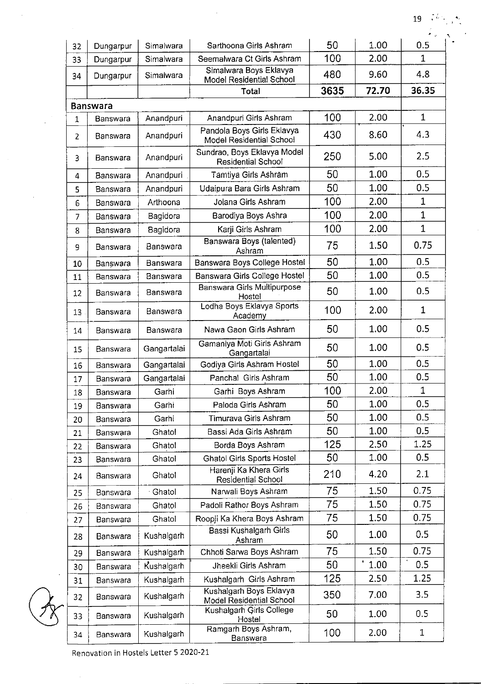$\pmb{\gamma}_i$ 

|    |                 |               |                                                        |      |       | $\bullet$ .  |
|----|-----------------|---------------|--------------------------------------------------------|------|-------|--------------|
| 32 | Dungarpur       | Simalwara     | Sarthoona Girls Ashram                                 | 50   | 1.00  | 0.5          |
| 33 | Dungarpur       | Simalwara     | Seemalwara Ct Girls Ashram                             | 100  | 2.00  | 1            |
| 34 | Dungarpur       | Simalwara     | Simalwara Boys Eklavya<br>Model Residential School     | 480  | 9.60  | 4.8          |
|    |                 |               | Total                                                  | 3635 | 72.70 | 36.35        |
|    | <b>Banswara</b> |               |                                                        |      |       |              |
| 1  | Banswara        | Anandpuri     | Anandpuri Girls Ashram                                 | 100  | 2.00  | $\mathbf{1}$ |
| 2  | Banswara        | Anandpuri     | Pandola Boys Girls Eklavya<br>Model Residential School | 430  | 8.60  | 4.3          |
| 3  | Banswara        | Anandpuri     | Sundrao, Boys Eklavya Model<br>Residential School      | 250  | 5.00  | 2.5          |
| 4  | Banswara        | Anandpuri     | Tamtiya Girls Ashram                                   | 50   | 1.00  | 0.5          |
| 5  | Banswara        | Anandpuri     | Udaipura Bara Girls Ashram                             | 50   | 1.00  | 0.5          |
| 6  | Banswara        | Arthoona      | Jolana Girls Ashram                                    | 100  | 2.00  | 1            |
| 7  | Banswara        | Bagidora      | Barodiya Boys Ashra                                    | 100  | 2.00  | $\mathbf{1}$ |
| 8  | Banswara        | Bagidora      | Karji Girls Ashram                                     | 100  | 2.00  | 1            |
| 9  | Banswara        | Banswara      | Banswara Boys (talented)<br>Ashram                     | 75   | 1.50  | 0.75         |
| 10 | Banswara        | Banswara      | Banswara Boys College Hostel                           | 50   | 1.00  | 0.5          |
| 11 | Banswara        | Banswara      | Banswara Girls College Hostel                          | 50   | 1.00  | 0.5          |
| 12 | Banswara        | Banswara      | <b>Banswara Girls Multipurpose</b><br>Hostel           | 50   | 1.00  | 0.5          |
| 13 | Banswara        | Banswara      | Lodha Boys Eklavya Sports<br>Academy                   | 100  | 2.00  | $\mathbf{1}$ |
| 14 | Banswara        | Banswara      | Nawa Gaon Girls Ashram                                 | 50   | 1.00  | 0.5          |
| 15 | Banswara        | Gangartalai   | Gamaniya Moti Girls Ashram<br>Gangartalai              | 50   | 1.00  | 0.5          |
| 16 | Banswara        | Gangartalai   | Godiya Girls Ashram Hostel                             | 50   | 1.00  | 0.5          |
| 17 | Banswara        | Gangartalai   | Panchal Girls Ashram                                   | 50   | 1.00  | 0.5          |
| 18 | Banswara        | Garhi         | Garhi Boys Ashram                                      | 100  | 2.00  | $\mathbf 1$  |
| 19 | <b>Banswara</b> | Garhi         | Paloda Girls Ashram                                    | 50   | 1.00  | 0.5          |
| 20 | Banswara        | Garhi         | Timurava Girls Ashram                                  | 50   | 1.00  | 0.5          |
| 21 | Banswara        | Ghatol        | Bassi Ada Girls Ashram                                 | 50   | 1.00  | 0.5          |
| 22 | Banswara        | <b>Ghato!</b> | Borda Boys Ashram                                      | 125  | 2.50  | 1.25         |
| 23 | Banswara        | Ghatol        | <b>Ghatol Girls Sports Hostel</b>                      | 50   | 1.00  | 0.5          |
| 24 | Banswara        | Ghatol        | Harenji Ka Khera Girls<br><b>Residential School</b>    | 210  | 4.20  | 2.1          |
| 25 | Banswara        | Ghatol        | Narwali Boys Ashram                                    | 75   | 1.50  | 0.75         |
| 26 | Banswara        | Ghatol        | Padoli Rathor Boys Ashram                              | 75   | 1.50  | 0.75         |
| 27 | Banswara        | Ghatol        | Roopii Ka Khera Boys Ashram                            | 75   | 1.50  | 0.75         |
| 28 | Banswara        | Kushalgarh    | Bassi Kushalgarh Girls<br>Ashram                       | 50   | 1.00  | 0.5          |
| 29 | Banswara        | Kushalgarh    | Chhoti Sarwa Boys Ashram                               | 75   | 1.50  | 0.75         |
| 30 | Banswara        | Kushalgarh    | Jheekli Girls Ashram                                   | 50   | 1.00  | 0.5          |
| 31 | Banswara        | Kushalgarh    | Kushalgarh Girls Ashram                                | 125  | 2.50  | 1.25         |
| 32 | Banswara        | Kushalgarh    | Kushalgarh Boys Eklavya<br>Model Residential School    | 350  | 7.00  | 3.5          |
| 33 | Banswara        | Kushalgarh    | Kushalgarh Girls College<br>Hostel                     | 50   | 1.00  | 0.5          |
| 34 | Banswara        | Kushalgarh    | Ramgarh Boys Ashram,<br>Banswara                       | 100  | 2.00  | $\mathbf{1}$ |

 $\bar{\mathcal{A}}$ 

 $\sim$ 

 $\mathcal{A}^{\mathcal{A}}$ 

 $\sim$ 

 $\bar{z}$ 

 $\bar{z}$ 

Renovation in Hostels Letter 5 2020-21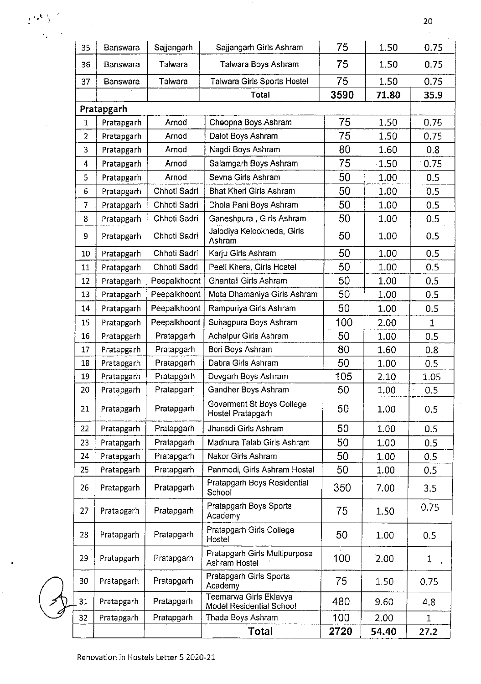| 35             | Banswara   | Sajjangarh   | Sajjangarh Girls Ashram                            | 75   | 1.50    | 0.75         |
|----------------|------------|--------------|----------------------------------------------------|------|---------|--------------|
| 36             | Banswara   | Talwara      | Talwara Boys Ashram                                | 75   | 1.50    | 0.75         |
| 37             | Banswara   | Talwara      | Talwara Girls Sports Hostel                        | 75   | 1.50    | 0.75         |
|                |            |              | Total                                              | 3590 | 71.80   | 35.9         |
|                | Pratapgarh |              |                                                    |      |         |              |
| $\mathbf{1}$   | Pratapgarh | Arnod        | Choopna Boys Ashram                                | 75   | 1.50    | 0.75         |
| $\overline{2}$ | Pratapgarh | Arnod        | Dalot Boys Ashram                                  | 75   | 1.50    | 0.75         |
| 3              | Pratapgarh | Arnod        | Nagdi Boys Ashram                                  | 80   | 1.60    | 0.8          |
| 4              | Pratapgarh | Arnod        | Salamgarh Boys Ashram                              | 75   | $-1.50$ | 0.75         |
| 5              | Pratapgarh | Arnod        | Sevna Girls Ashram                                 | 50   | 1.00    | 0.5          |
| 6              | Pratapgarh | Chhoti Sadri | <b>Bhat Kheri Girls Ashram</b>                     | 50   | 1.00    | 0.5          |
| 7              | Pratapgarh | Chhoti Sadri | 50<br>Dhola Pani Boys Ashram                       |      | 1.00    | 0.5          |
| 8              | Pratapgarh | Chhoti Sadri | Ganeshpura, Girls Ashram                           | 50   | 1.00    | 0.5          |
| 9              | Pratapgarh | Chhoti Sadri | Jalodiya Kelookheda, Girls<br>Ashram               | 50   | 1.00    | 0.5          |
| 10             | Pratapgarh | Chhoti Sadri | Karju Girls Ashram                                 | 50   | 1.00    | 0.5          |
| 11             | Pratapgarh | Chhoti Sadri | Peeli Khera, Girls Hostel                          | 50   | 1.00    | 0.5          |
| 12             | Pratapgarh | Peepalkhoont | Ghantali Girls Ashram                              | 50   | 1.00    | 0.5          |
| 13             | Pratapgarh | Peepalkhoont | Mota Dhamaniya Girls Ashram                        | 50   | 1.00    | 0.5          |
| 14             | Pratapgarh | Peepalkhoont | Rampuriya Girls Ashram                             | 50   | 1.00    | 0.5          |
| 15             | Pratapgarh | Peepalkhoont | Suhagpura Boys Ashram                              | 100  | 2.00    | $\mathbf 1$  |
| 16             | Pratapgarh | Pratapgarh   | Achalpur Girls Ashram                              | 50   | 1.00    | 0.5          |
| 17             | Pratapgarh | Pratapgarh   | Bori Boys Ashram                                   | 80   | 1.60    | 0.8          |
| 18             | Pratapgarh | Pratapgarh   | Dabra Girls Ashram                                 | 50   | 1.00    | 0.5          |
| 19             | Pratapgarh | Pratapgarh   | Devgarh Boys Ashram                                | 105  | 2.10    | 1.05         |
| 20             | Pratapgarh | Pratapgarh   | Gandher Boys Ashram                                | 50   | 1.00    | 0.5          |
| 21             | Pratapgarh | Pratapgarh   | Goverment St Boys College<br>Hostel Pratapgarh     | 50   | 1.00    | 0.5          |
| 22             | Pratapgarh | Pratapgarh   | 50<br>Jhansdi Girls Ashram<br>50                   |      | 1.00    | 0.5          |
| 23             | Pratapgarh | Pratapgarh   | Madhura Talab Girls Ashram                         |      | 1.00    | 0.5          |
| 24             | Pratapgarh | Pratapgarh   | Nakor Girls Ashram                                 | 50   | 1.00    | 0.5          |
| 25             | Pratapgarh | Pratapgarh   | Panmodi, Girls Ashram Hostel                       | 50   | 1.00    | 0.5          |
| 26             | Pratapgarh | Pratapgarh   | Pratapgarh Boys Residential<br>School              | 350  | 7.00    | 3.5          |
| 27             | Pratapgarh | Pratapgarh   | Pratapgarh Boys Sports<br>Academy                  | 75   | 1.50    | 0.75         |
| 28             | Pratapgarh | Pratapgarh   | Pratapgarh Girls College<br>Hostel                 | 50   | 1.00    | 0.5          |
| 29             | Pratapgarh | Pratapgarh   | Pratapgarh Girls Multipurpose<br>Ashram Hostel     | 100  | 2.00    | 1            |
| 30             | Pratapgarh | Pratapgarh   | Pratapgarh Girls Sports<br>Academy                 | 75   | 1.50    | 0.75         |
| 31             | Pratapgarh | Pratapgarh   | Teemarwa Girls Eklavya<br>Model Residential School | 480  | 9.60    | 4.8          |
| 32             | Pratapgarh | Pratapgarh   | Thada Boys Ashram                                  | 100  | 2.00    | $\mathbf{1}$ |
|                |            |              | Total                                              | 2720 | 54.40   | 27.2         |

 $\mathcal{A}^{(k)}$ 

 $\bar{\bar{z}}$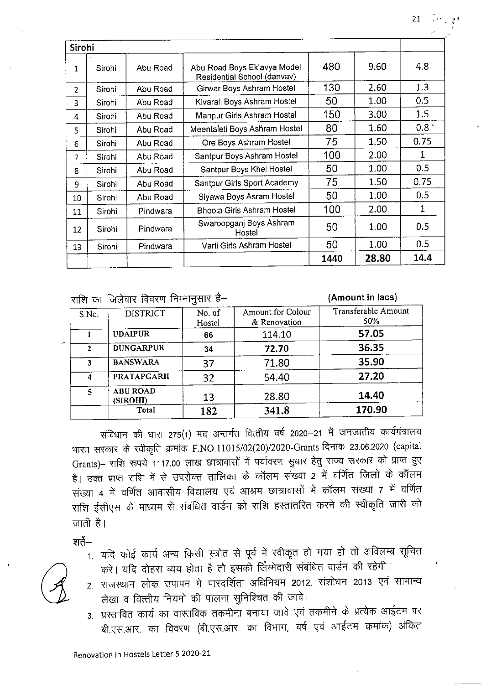| <b>Sirohi</b> |        |          |                                                            |      |       |                  |
|---------------|--------|----------|------------------------------------------------------------|------|-------|------------------|
| $\mathbf{1}$  | Sirohi | Abu Road | Abu Road Boys Eklavya Model<br>Residential School (danvav) | 480  | 9.60  | 4.8              |
| 2             | Sirohi | Abu Road | Girwar Boys Ashram Hostel                                  | 130  | 2.60  | 1.3              |
| 3             | Sirohi | Abu Road | Kivarali Boys Ashram Hostel                                | 50   | 1.00  | 0.5              |
| 4             | Sirohi | Abu Road | Manpur Girls Ashram Hostel                                 | 150  | 3.00  | 1.5              |
| 5.            | Sirohi | Abu Road | Meentaleti Boys Ashram Hostel                              | 80   | 1.60  | 0.8 <sup>1</sup> |
| 6             | Sirohi | Abu Road | Ore Boys Ashram Hostel                                     | 75   | 1.50  | 0.75             |
| 7             | Sirohi | Abu Road | Santpur Boys Ashram Hostel                                 | 100  | 2.00  | 1                |
| 8             | Sirohi | Abu Road | Santpur Boys Khel Hostel                                   | 50   | 1.00  | 0.5              |
| 9             | Sirohi | Abu Road | Santpur Girls Sport Academy                                | 75   | 1.50  | 0.75             |
| 10            | Sirohi | Abu Road | Siyawa Boys Asram Hostel                                   | 50   | 1.00  | 0.5              |
| 11            | Sirohi | Pindwara | Bhoola Girls Ashram Hostel                                 | 100  | 2.00  | $\mathbf{1}$     |
| 12            | Sirohi | Pindwara | Swaroopganj Boys Ashram<br>Hostel                          | 50   | 1.00  | 0.5              |
| 13            | Sirohi | Pindwara | Varli Girls Ashram Hostel                                  | 50   | 1.00  | 0.5              |
|               |        |          |                                                            | 1440 | 28.80 | 14.4             |

<u>जणि का जिल्लेतार विवरण निम्नानसार है–</u>

(Amount in lacs)

| S.No.          | <b>DISTRICT</b>             | No. of<br>Hostel | Amount for Colour<br>& Renovation | Transferable Amount<br>50% |
|----------------|-----------------------------|------------------|-----------------------------------|----------------------------|
|                | <b>UDAIPUR</b>              | 66               | 114.10                            | 57.05                      |
| 2              | <b>DUNGARPUR</b>            | 34               | 72.70                             | 36.35                      |
| 3              | <b>BANSWARA</b>             | 37               | 71.80                             | 35.90                      |
| 4              | <b>PRATAPGARH</b>           | 32               | 54.40                             | 27.20                      |
| $\overline{5}$ | <b>ABU ROAD</b><br>(SIROHI) | 13               | 28,80                             | 14.40                      |
|                | Total                       | 182              | 341.8                             | 170.90                     |

संविधान की धारा 275(1) मद अन्तर्गत वित्तीय वर्ष 2020–21 में जनजातीय कार्यमंत्रालय भारत सरकार के स्वीकृति क्रमांक F.NO.11015/02(20)/2020-Grants दिनांक 23.06.2020 (capital Grants)- राशि रूपये 1117.00 लाख छात्रावासों में पर्यावरण सुधार हेतु राज्य सरकार को प्राप्त हुए है। उक्त प्राप्त राशि में से उपरोक्त तालिका के कॉलम संख्या 2 में वर्णित जिलों के कॉलम संख्या 4 में वर्णित आवासीय विद्यालय एवं आश्रम छात्रावासों में कॉलम संख्या 7 में वर्णित राशि ईसीएस के माध्यम से संबंधित वार्डन को राशि हस्तांतरित करने की स्वीकृति जारी की जाती है।

शर्ते—

- 1. यदि कोई कार्य अन्य किसी स्त्रोत से पूर्व में स्वीकृत हो गया हो तो अविलम्ब सूचित करें। यदि दोहरा व्यय होता है तौ इसकी जिम्मेदारी संबंधित वार्डन की रहेगी।
- 2. राजस्थान लोक उपापन मे पारदर्शिता अधिनियम 2012, संशोधन 2013 एवं सामान्य लेखा व वित्तीय नियमो की पालना सुनिश्चित की जावे।
- 3. प्रस्तावित कार्य का वास्तविक तकमीना बनाया जावे एवं तकमीने के प्रत्येक आईटम पर बी.एस.आर. का विवरण (बी.एस.आर. का विभाग, वर्ष एवं आईटम क्रमांक) अंकित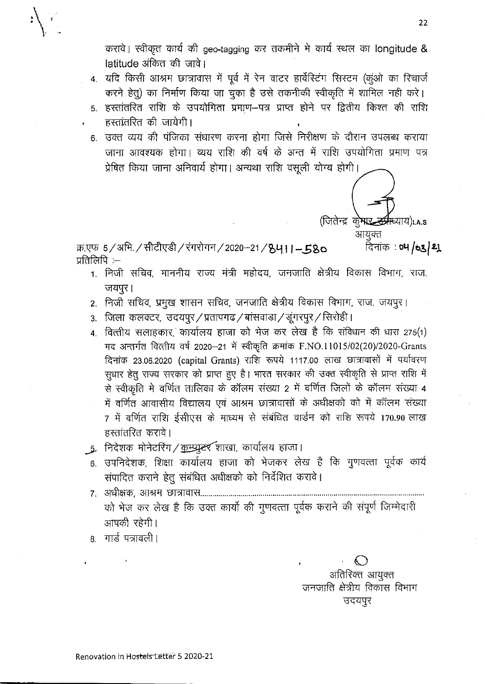करावे। स्वीकृत कार्य की geo-tagging कर तकमीने में कार्य स्थल का longitude & latitude अंकित की जावे।

4. यदि किसी आश्रम छात्रावास में पूर्व में रेन वाटर हार्वेस्टिंग सिस्टम (कूंओ का रिचार्ज करने हेतु) का निर्माण किया जा चुका है उसे तकनीकी स्वीकृति में शामिल नही करे।

- 5. हस्तांतरित राशि के उपयोगिता प्रमाण--पत्र प्राप्त होने पर द्वितीय किश्त की राशि हस्तांतरित की जायेगी।
- 6. उक्त व्यय की पंजिका संधारण करना होगा जिसे निरीक्षण के दौरान उपलब्ध कराया जाना आवश्यक होगा। व्यय राशि की वर्ष के अन्त में राशि उपयोगिता प्रमाण पत्र प्रेषित किया जाना अनिवार्य होगा। अन्यथा राशि वसूली योग्य होगी।

क्र.एफ 5/अभि. / सीटीएडी / रंगरोगन / 2020-21 / 8411-580 प्रतिलिपि $:=$ 

- 1. निजी सचिव, माननीय राज्य मंत्री महोदय, जनजाति क्षेत्रीय विकास विभाग, राज. जयपुर।
- 2. निजी सचिव, प्रमुख शासन सचिव, जनजाति क्षेत्रीय विकास विभाग, राज. जयपुर।
- 3. जिला कलक्टर, उदयपुर/प्रतापगढ/बांसवाडा/डूंगरपुर/सिरोही।
- 4. वित्तीय सलाहकार, कार्यालय हाजा को भेज कर लेख है कि संविधान की धारा 275(1) मद अन्तर्गत वित्तीय वर्ष 2020-21 में स्वीकृति क्रमांक F.NO.11015/02(20)/2020-Grants दिनांक 23.06.2020 (capital Grants) राशि रूपये 1117.00 लाख छात्रावासों में पर्यावरण सुधार हेतु राज्य सरकार को प्राप्त हुए है। भारत सरकार की उक्त स्वीकृति से प्राप्त राशि में से स्वीकृति मे वर्णित तालिका के कॉलम संख्या 2 में वर्णित जिलों के कॉलम संख्या 4 में वर्णित आवासीय विद्यालय एवं आश्रम छात्रावासों के अधीक्षको को में कॉलम संख्या 7 में वर्णित राशि ईसीएस के माध्यम से संबंधित वार्डन को राशि रूपये 170.90 लाख हस्तांतरित करावे।
- ्र निदेशक मोनेटरिंग / <u>कम्प्यु</u>टर शाखा, कार्यालय हाजा।
- 6. उपनिदेशक, शिक्षा कार्यालय हाजा को भेजकर लेख है कि गुणवत्ता पूर्वक कार्य संपादित कराने हेतू संबंधित अधीक्षको को निर्देशित करावे।
- को भेज कर लेख है कि उक्त कार्यो की गुणवत्ता पूर्वक कराने की संपूर्ण जिम्मेदारी आपकी रहेगी।
- 8. गार्ड पत्रावली।

अतिरिक्त आयुक्त जनजाति क्षेत्रीय विकास विभाग उदयपुर

(जितेन्द्र क्**रेमार्** 

आयुक्त

म्ध्याय)।.a.s

दिनांक : **०५ /०३/ थू**